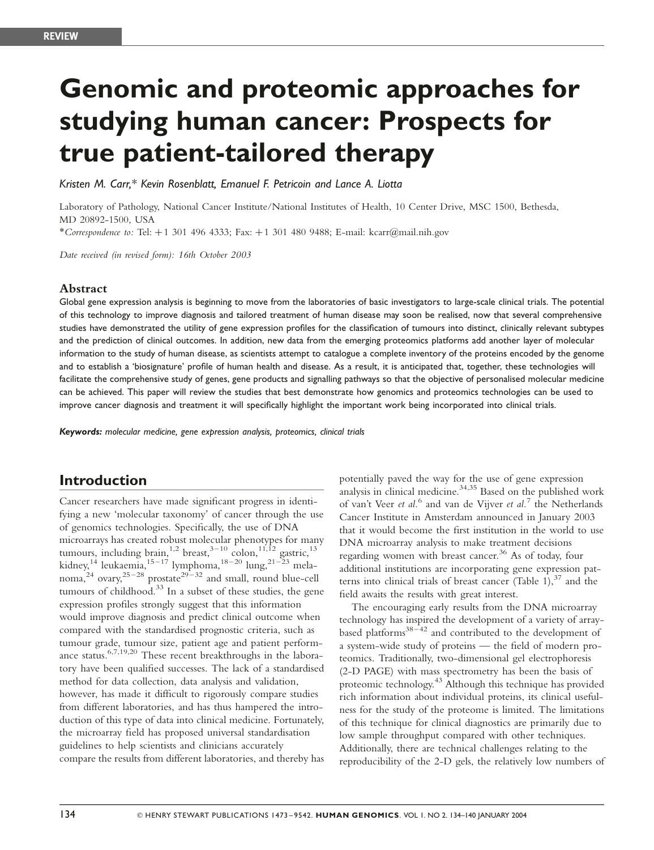# Genomic and proteomic approaches for studying human cancer: Prospects for true patient-tailored therapy

Kristen M. Carr,\* Kevin Rosenblatt, Emanuel F. Petricoin and Lance A. Liotta

Laboratory of Pathology, National Cancer Institute/National Institutes of Health, 10 Center Drive, MSC 1500, Bethesda, MD 20892-1500, USA

\*Correspondence to: Tel:  $+1$  301 496 4333; Fax:  $+1$  301 480 9488; E-mail: kcarr@mail.nih.gov

Date received (in revised form): 16th October 2003

#### Abstract

Global gene expression analysis is beginning to move from the laboratories of basic investigators to large-scale clinical trials. The potential of this technology to improve diagnosis and tailored treatment of human disease may soon be realised, now that several comprehensive studies have demonstrated the utility of gene expression profiles for the classification of tumours into distinct, clinically relevant subtypes and the prediction of clinical outcomes. In addition, new data from the emerging proteomics platforms add another layer of molecular information to the study of human disease, as scientists attempt to catalogue a complete inventory of the proteins encoded by the genome and to establish a 'biosignature' profile of human health and disease. As a result, it is anticipated that, together, these technologies will facilitate the comprehensive study of genes, gene products and signalling pathways so that the objective of personalised molecular medicine can be achieved. This paper will review the studies that best demonstrate how genomics and proteomics technologies can be used to improve cancer diagnosis and treatment it will specifically highlight the important work being incorporated into clinical trials.

Keywords: molecular medicine, gene expression analysis, proteomics, clinical trials

#### Introduction

Cancer researchers have made significant progress in identifying a new 'molecular taxonomy' of cancer through the use of genomics technologies. Specifically, the use of DNA microarrays has created robust molecular phenotypes for many tumours, including brain,<sup>1,2</sup> breast,<sup>3-10</sup> colon,<sup>11,12</sup> gastric,<sup>13</sup> kidney, $^{14}$  leukaemia, $^{15-17}$  lymphoma, $^{18-20}$  lung, $^{21-23}$  mela $noma<sub>1</sub><sup>24</sup>$  ovary,<sup>25–28</sup> prostate<sup>29–32</sup> and small, round blue-cell tumours of childhood. $33$  In a subset of these studies, the gene expression profiles strongly suggest that this information would improve diagnosis and predict clinical outcome when compared with the standardised prognostic criteria, such as tumour grade, tumour size, patient age and patient performance status.<sup>6,7,19,20</sup> These recent breakthroughs in the laboratory have been qualified successes. The lack of a standardised method for data collection, data analysis and validation, however, has made it difficult to rigorously compare studies from different laboratories, and has thus hampered the introduction of this type of data into clinical medicine. Fortunately, the microarray field has proposed universal standardisation guidelines to help scientists and clinicians accurately compare the results from different laboratories, and thereby has potentially paved the way for the use of gene expression analysis in clinical medicine.<sup>34,35</sup> Based on the published work of van't Veer et al.<sup>6</sup> and van de Vijver et al.<sup>7</sup> the Netherlands Cancer Institute in Amsterdam announced in January 2003 that it would become the first institution in the world to use DNA microarray analysis to make treatment decisions regarding women with breast cancer.<sup>36</sup> As of today, four additional institutions are incorporating gene expression patterns into clinical trials of breast cancer (Table 1), $37$  and the field awaits the results with great interest.

The encouraging early results from the DNA microarray technology has inspired the development of a variety of arraybased platforms $38-42$  and contributed to the development of a system-wide study of proteins — the field of modern proteomics. Traditionally, two-dimensional gel electrophoresis (2-D PAGE) with mass spectrometry has been the basis of proteomic technology.<sup>43</sup> Although this technique has provided rich information about individual proteins, its clinical usefulness for the study of the proteome is limited. The limitations of this technique for clinical diagnostics are primarily due to low sample throughput compared with other techniques. Additionally, there are technical challenges relating to the reproducibility of the 2-D gels, the relatively low numbers of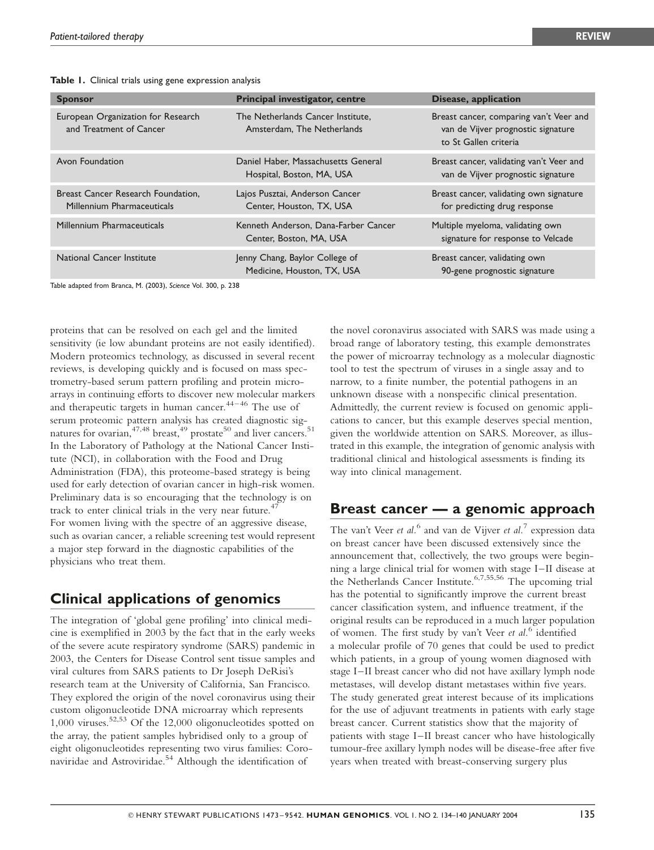| <b>Sponsor</b>                                                   | <b>Principal investigator, centre</b>                            | Disease, application                                                                                   |
|------------------------------------------------------------------|------------------------------------------------------------------|--------------------------------------------------------------------------------------------------------|
| European Organization for Research<br>and Treatment of Cancer    | The Netherlands Cancer Institute,<br>Amsterdam, The Netherlands  | Breast cancer, comparing van't Veer and<br>van de Vijver prognostic signature<br>to St Gallen criteria |
| Avon Foundation                                                  | Daniel Haber, Massachusetts General<br>Hospital, Boston, MA, USA | Breast cancer, validating van't Veer and<br>van de Vijver prognostic signature                         |
| Breast Cancer Research Foundation.<br>Millennium Pharmaceuticals | Lajos Pusztai, Anderson Cancer<br>Center, Houston, TX, USA       | Breast cancer, validating own signature<br>for predicting drug response                                |
| Millennium Pharmaceuticals                                       | Kenneth Anderson, Dana-Farber Cancer<br>Center, Boston, MA, USA  | Multiple myeloma, validating own<br>signature for response to Velcade                                  |
| National Cancer Institute                                        | Jenny Chang, Baylor College of<br>Medicine, Houston, TX, USA     | Breast cancer, validating own<br>90-gene prognostic signature                                          |

Table 1. Clinical trials using gene expression analysis

Table adapted from Branca, M. (2003), Science Vol. 300, p. 238

proteins that can be resolved on each gel and the limited sensitivity (ie low abundant proteins are not easily identified). Modern proteomics technology, as discussed in several recent reviews, is developing quickly and is focused on mass spectrometry-based serum pattern profiling and protein microarrays in continuing efforts to discover new molecular markers and therapeutic targets in human cancer.<sup>44-46</sup> The use of serum proteomic pattern analysis has created diagnostic signatures for ovarian,  $47,48$  breast,  $49$  prostate  $50$  and liver cancers.<sup>51</sup> In the Laboratory of Pathology at the National Cancer Institute (NCI), in collaboration with the Food and Drug Administration (FDA), this proteome-based strategy is being used for early detection of ovarian cancer in high-risk women. Preliminary data is so encouraging that the technology is on track to enter clinical trials in the very near future.<sup>4</sup> For women living with the spectre of an aggressive disease, such as ovarian cancer, a reliable screening test would represent a major step forward in the diagnostic capabilities of the physicians who treat them.

### Clinical applications of genomics

The integration of 'global gene profiling' into clinical medicine is exemplified in 2003 by the fact that in the early weeks of the severe acute respiratory syndrome (SARS) pandemic in 2003, the Centers for Disease Control sent tissue samples and viral cultures from SARS patients to Dr Joseph DeRisi's research team at the University of California, San Francisco. They explored the origin of the novel coronavirus using their custom oligonucleotide DNA microarray which represents 1,000 viruses.52,53 Of the 12,000 oligonucleotides spotted on the array, the patient samples hybridised only to a group of eight oligonucleotides representing two virus families: Coronaviridae and Astroviridae.<sup>54</sup> Although the identification of

the novel coronavirus associated with SARS was made using a broad range of laboratory testing, this example demonstrates the power of microarray technology as a molecular diagnostic tool to test the spectrum of viruses in a single assay and to narrow, to a finite number, the potential pathogens in an unknown disease with a nonspecific clinical presentation. Admittedly, the current review is focused on genomic applications to cancer, but this example deserves special mention, given the worldwide attention on SARS. Moreover, as illustrated in this example, the integration of genomic analysis with traditional clinical and histological assessments is finding its way into clinical management.

### Breast cancer — a genomic approach

The van't Veer et al.<sup>6</sup> and van de Vijver et al.<sup>7</sup> expression data on breast cancer have been discussed extensively since the announcement that, collectively, the two groups were beginning a large clinical trial for women with stage I–II disease at the Netherlands Cancer Institute.6,7,55,56 The upcoming trial has the potential to significantly improve the current breast cancer classification system, and influence treatment, if the original results can be reproduced in a much larger population of women. The first study by van't Veer et al.<sup>6</sup> identified a molecular profile of 70 genes that could be used to predict which patients, in a group of young women diagnosed with stage I–II breast cancer who did not have axillary lymph node metastases, will develop distant metastases within five years. The study generated great interest because of its implications for the use of adjuvant treatments in patients with early stage breast cancer. Current statistics show that the majority of patients with stage I–II breast cancer who have histologically tumour-free axillary lymph nodes will be disease-free after five years when treated with breast-conserving surgery plus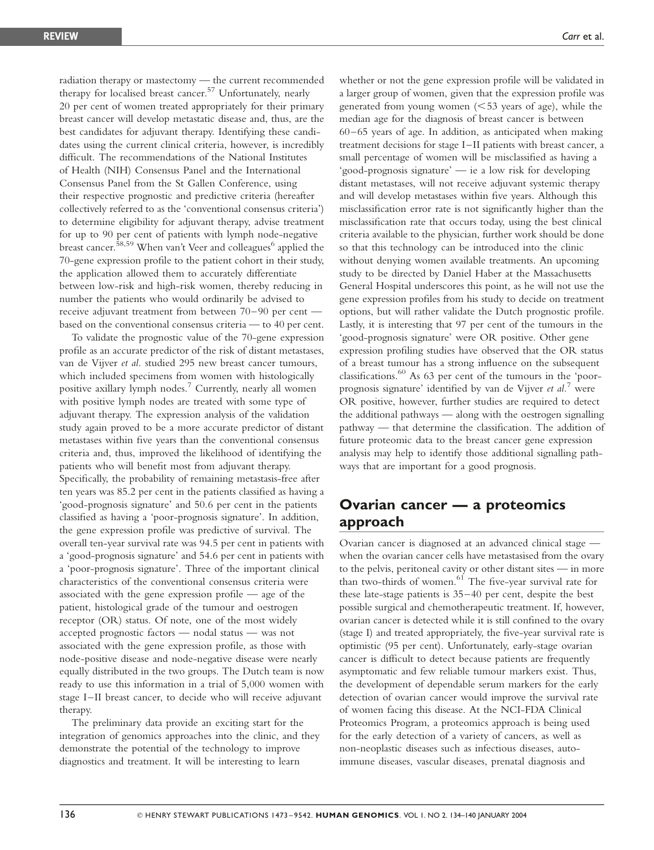radiation therapy or mastectomy — the current recommended therapy for localised breast cancer.<sup>57</sup> Unfortunately, nearly 20 per cent of women treated appropriately for their primary breast cancer will develop metastatic disease and, thus, are the best candidates for adjuvant therapy. Identifying these candidates using the current clinical criteria, however, is incredibly difficult. The recommendations of the National Institutes of Health (NIH) Consensus Panel and the International Consensus Panel from the St Gallen Conference, using their respective prognostic and predictive criteria (hereafter collectively referred to as the 'conventional consensus criteria') to determine eligibility for adjuvant therapy, advise treatment for up to 90 per cent of patients with lymph node-negative breast cancer.<sup>58,59</sup> When van't Veer and colleagues<sup>6</sup> applied the 70-gene expression profile to the patient cohort in their study, the application allowed them to accurately differentiate between low-risk and high-risk women, thereby reducing in number the patients who would ordinarily be advised to receive adjuvant treatment from between 70–90 per cent based on the conventional consensus criteria — to 40 per cent.

To validate the prognostic value of the 70-gene expression profile as an accurate predictor of the risk of distant metastases, van de Vijver et al. studied 295 new breast cancer tumours, which included specimens from women with histologically positive axillary lymph nodes.<sup>7</sup> Currently, nearly all women with positive lymph nodes are treated with some type of adjuvant therapy. The expression analysis of the validation study again proved to be a more accurate predictor of distant metastases within five years than the conventional consensus criteria and, thus, improved the likelihood of identifying the patients who will benefit most from adjuvant therapy. Specifically, the probability of remaining metastasis-free after ten years was 85.2 per cent in the patients classified as having a 'good-prognosis signature' and 50.6 per cent in the patients classified as having a 'poor-prognosis signature'. In addition, the gene expression profile was predictive of survival. The overall ten-year survival rate was 94.5 per cent in patients with a 'good-prognosis signature' and 54.6 per cent in patients with a 'poor-prognosis signature'. Three of the important clinical characteristics of the conventional consensus criteria were associated with the gene expression profile — age of the patient, histological grade of the tumour and oestrogen receptor (OR) status. Of note, one of the most widely accepted prognostic factors — nodal status — was not associated with the gene expression profile, as those with node-positive disease and node-negative disease were nearly equally distributed in the two groups. The Dutch team is now ready to use this information in a trial of 5,000 women with stage I–II breast cancer, to decide who will receive adjuvant therapy.

The preliminary data provide an exciting start for the integration of genomics approaches into the clinic, and they demonstrate the potential of the technology to improve diagnostics and treatment. It will be interesting to learn

whether or not the gene expression profile will be validated in a larger group of women, given that the expression profile was generated from young women  $\approx$  53 years of age), while the median age for the diagnosis of breast cancer is between 60–65 years of age. In addition, as anticipated when making treatment decisions for stage I–II patients with breast cancer, a small percentage of women will be misclassified as having a 'good-prognosis signature' — ie a low risk for developing distant metastases, will not receive adjuvant systemic therapy and will develop metastases within five years. Although this misclassification error rate is not significantly higher than the misclassification rate that occurs today, using the best clinical criteria available to the physician, further work should be done so that this technology can be introduced into the clinic without denying women available treatments. An upcoming study to be directed by Daniel Haber at the Massachusetts General Hospital underscores this point, as he will not use the gene expression profiles from his study to decide on treatment options, but will rather validate the Dutch prognostic profile. Lastly, it is interesting that 97 per cent of the tumours in the 'good-prognosis signature' were OR positive. Other gene expression profiling studies have observed that the OR status of a breast tumour has a strong influence on the subsequent classifications.<sup>60</sup> As 63 per cent of the tumours in the 'poorprognosis signature' identified by van de Vijver et al.<sup>7</sup> were OR positive, however, further studies are required to detect the additional pathways — along with the oestrogen signalling pathway — that determine the classification. The addition of future proteomic data to the breast cancer gene expression analysis may help to identify those additional signalling pathways that are important for a good prognosis.

#### Ovarian cancer — a proteomics approach

Ovarian cancer is diagnosed at an advanced clinical stage when the ovarian cancer cells have metastasised from the ovary to the pelvis, peritoneal cavity or other distant sites — in more than two-thirds of women. $61$  The five-year survival rate for these late-stage patients is 35–40 per cent, despite the best possible surgical and chemotherapeutic treatment. If, however, ovarian cancer is detected while it is still confined to the ovary (stage I) and treated appropriately, the five-year survival rate is optimistic (95 per cent). Unfortunately, early-stage ovarian cancer is difficult to detect because patients are frequently asymptomatic and few reliable tumour markers exist. Thus, the development of dependable serum markers for the early detection of ovarian cancer would improve the survival rate of women facing this disease. At the NCI-FDA Clinical Proteomics Program, a proteomics approach is being used for the early detection of a variety of cancers, as well as non-neoplastic diseases such as infectious diseases, autoimmune diseases, vascular diseases, prenatal diagnosis and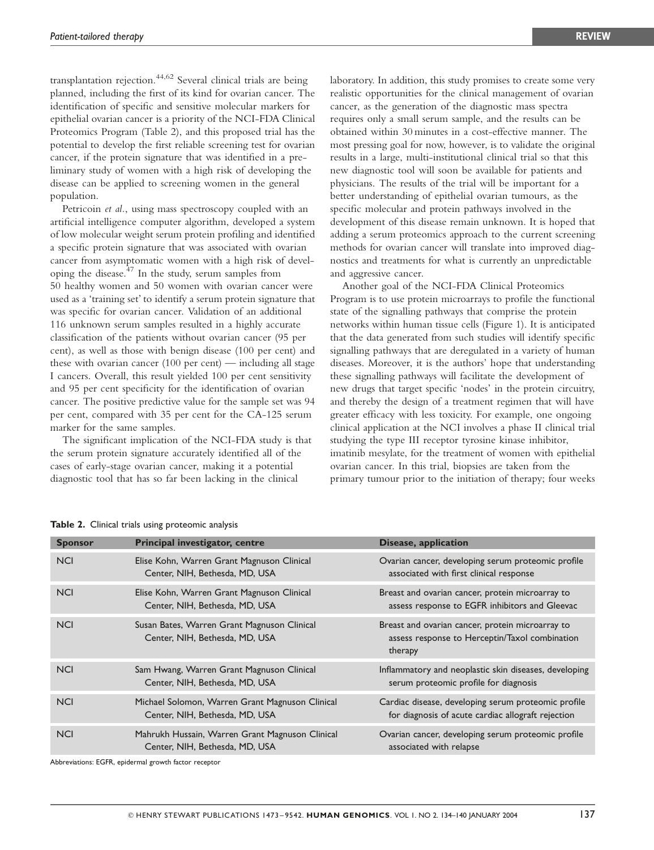transplantation rejection.<sup>44,62</sup> Several clinical trials are being planned, including the first of its kind for ovarian cancer. The identification of specific and sensitive molecular markers for epithelial ovarian cancer is a priority of the NCI-FDA Clinical Proteomics Program (Table 2), and this proposed trial has the potential to develop the first reliable screening test for ovarian cancer, if the protein signature that was identified in a preliminary study of women with a high risk of developing the disease can be applied to screening women in the general population.

Petricoin et al., using mass spectroscopy coupled with an artificial intelligence computer algorithm, developed a system of low molecular weight serum protein profiling and identified a specific protein signature that was associated with ovarian cancer from asymptomatic women with a high risk of developing the disease. $47$  In the study, serum samples from 50 healthy women and 50 women with ovarian cancer were used as a 'training set' to identify a serum protein signature that was specific for ovarian cancer. Validation of an additional 116 unknown serum samples resulted in a highly accurate classification of the patients without ovarian cancer (95 per cent), as well as those with benign disease (100 per cent) and these with ovarian cancer (100 per cent) — including all stage I cancers. Overall, this result yielded 100 per cent sensitivity and 95 per cent specificity for the identification of ovarian cancer. The positive predictive value for the sample set was 94 per cent, compared with 35 per cent for the CA-125 serum marker for the same samples.

The significant implication of the NCI-FDA study is that the serum protein signature accurately identified all of the cases of early-stage ovarian cancer, making it a potential diagnostic tool that has so far been lacking in the clinical

laboratory. In addition, this study promises to create some very realistic opportunities for the clinical management of ovarian cancer, as the generation of the diagnostic mass spectra requires only a small serum sample, and the results can be obtained within 30 minutes in a cost-effective manner. The most pressing goal for now, however, is to validate the original results in a large, multi-institutional clinical trial so that this new diagnostic tool will soon be available for patients and physicians. The results of the trial will be important for a better understanding of epithelial ovarian tumours, as the specific molecular and protein pathways involved in the development of this disease remain unknown. It is hoped that adding a serum proteomics approach to the current screening methods for ovarian cancer will translate into improved diagnostics and treatments for what is currently an unpredictable and aggressive cancer.

Another goal of the NCI-FDA Clinical Proteomics Program is to use protein microarrays to profile the functional state of the signalling pathways that comprise the protein networks within human tissue cells (Figure 1). It is anticipated that the data generated from such studies will identify specific signalling pathways that are deregulated in a variety of human diseases. Moreover, it is the authors' hope that understanding these signalling pathways will facilitate the development of new drugs that target specific 'nodes' in the protein circuitry, and thereby the design of a treatment regimen that will have greater efficacy with less toxicity. For example, one ongoing clinical application at the NCI involves a phase II clinical trial studying the type III receptor tyrosine kinase inhibitor, imatinib mesylate, for the treatment of women with epithelial ovarian cancer. In this trial, biopsies are taken from the primary tumour prior to the initiation of therapy; four weeks

| <b>Sponsor</b> | Principal investigator, centre                                                    | <b>Disease, application</b>                                                                                   |
|----------------|-----------------------------------------------------------------------------------|---------------------------------------------------------------------------------------------------------------|
| <b>NCI</b>     | Elise Kohn, Warren Grant Magnuson Clinical<br>Center, NIH, Bethesda, MD, USA      | Ovarian cancer, developing serum proteomic profile<br>associated with first clinical response                 |
| <b>NCI</b>     | Elise Kohn, Warren Grant Magnuson Clinical<br>Center, NIH, Bethesda, MD, USA      | Breast and ovarian cancer, protein microarray to<br>assess response to EGFR inhibitors and Gleevac            |
| <b>NCI</b>     | Susan Bates, Warren Grant Magnuson Clinical<br>Center, NIH, Bethesda, MD, USA     | Breast and ovarian cancer, protein microarray to<br>assess response to Herceptin/Taxol combination<br>therapy |
| <b>NCI</b>     | Sam Hwang, Warren Grant Magnuson Clinical<br>Center, NIH, Bethesda, MD, USA       | Inflammatory and neoplastic skin diseases, developing<br>serum proteomic profile for diagnosis                |
| <b>NCI</b>     | Michael Solomon, Warren Grant Magnuson Clinical<br>Center, NIH, Bethesda, MD, USA | Cardiac disease, developing serum proteomic profile<br>for diagnosis of acute cardiac allograft rejection     |
| <b>NCI</b>     | Mahrukh Hussain, Warren Grant Magnuson Clinical<br>Center, NIH, Bethesda, MD, USA | Ovarian cancer, developing serum proteomic profile<br>associated with relapse                                 |

#### Table 2. Clinical trials using proteomic analysis

Abbreviations: EGFR, epidermal growth factor receptor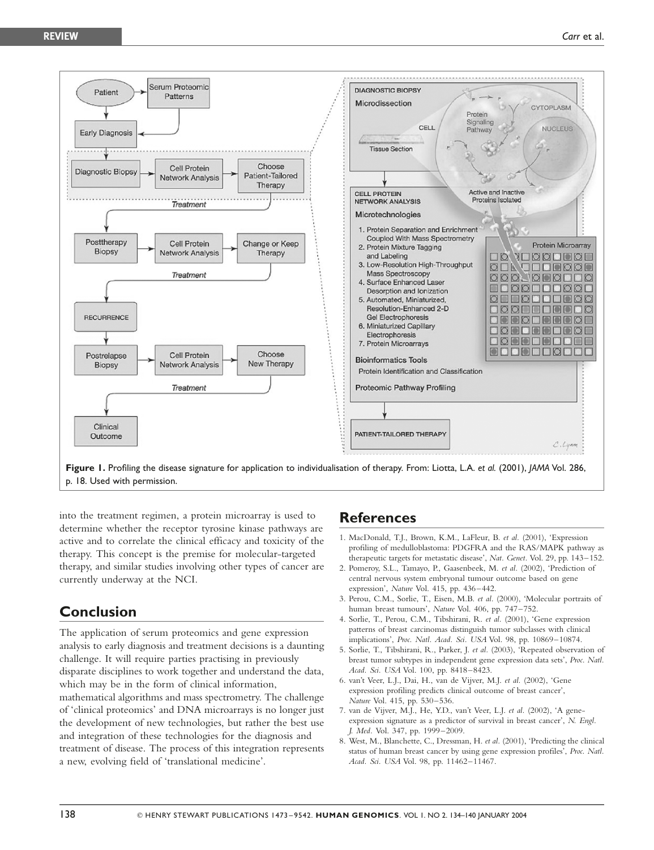

p. 18. Used with permission.

into the treatment regimen, a protein microarray is used to determine whether the receptor tyrosine kinase pathways are active and to correlate the clinical efficacy and toxicity of the therapy. This concept is the premise for molecular-targeted therapy, and similar studies involving other types of cancer are currently underway at the NCI.

## Conclusion

The application of serum proteomics and gene expression analysis to early diagnosis and treatment decisions is a daunting challenge. It will require parties practising in previously disparate disciplines to work together and understand the data, which may be in the form of clinical information, mathematical algorithms and mass spectrometry. The challenge of 'clinical proteomics' and DNA microarrays is no longer just the development of new technologies, but rather the best use and integration of these technologies for the diagnosis and treatment of disease. The process of this integration represents a new, evolving field of 'translational medicine'.

### **References**

- 1. MacDonald, T.J., Brown, K.M., LaFleur, B. et al. (2001), 'Expression profiling of medulloblastoma: PDGFRA and the RAS/MAPK pathway as therapeutic targets for metastatic disease', Nat. Genet. Vol. 29, pp. 143-152.
- 2. Pomeroy, S.L., Tamayo, P., Gaasenbeek, M. et al. (2002), 'Prediction of central nervous system embryonal tumour outcome based on gene expression', Nature Vol. 415, pp. 436–442.
- 3. Perou, C.M., Sorlie, T., Eisen, M.B. et al. (2000), 'Molecular portraits of human breast tumours', Nature Vol. 406, pp. 747–752.
- 4. Sorlie, T., Perou, C.M., Tibshirani, R. et al. (2001), 'Gene expression patterns of breast carcinomas distinguish tumor subclasses with clinical implications', Proc. Natl. Acad. Sci. USA Vol. 98, pp. 10869-10874.
- 5. Sorlie, T., Tibshirani, R., Parker, J. et al. (2003), 'Repeated observation of breast tumor subtypes in independent gene expression data sets', Proc. Natl. Acad. Sci. USA Vol. 100, pp. 8418-8423.
- 6. van't Veer, L.J., Dai, H., van de Vijver, M.J. et al. (2002), 'Gene expression profiling predicts clinical outcome of breast cancer', Nature Vol. 415, pp. 530–536.
- 7. van de Vijver, M.J., He, Y.D., van't Veer, L.J. et al. (2002), 'A geneexpression signature as a predictor of survival in breast cancer', N. Engl. J. Med. Vol. 347, pp. 1999–2009.
- 8. West, M., Blanchette, C., Dressman, H. et al. (2001), 'Predicting the clinical status of human breast cancer by using gene expression profiles', Proc. Natl. Acad. Sci. USA Vol. 98, pp. 11462-11467.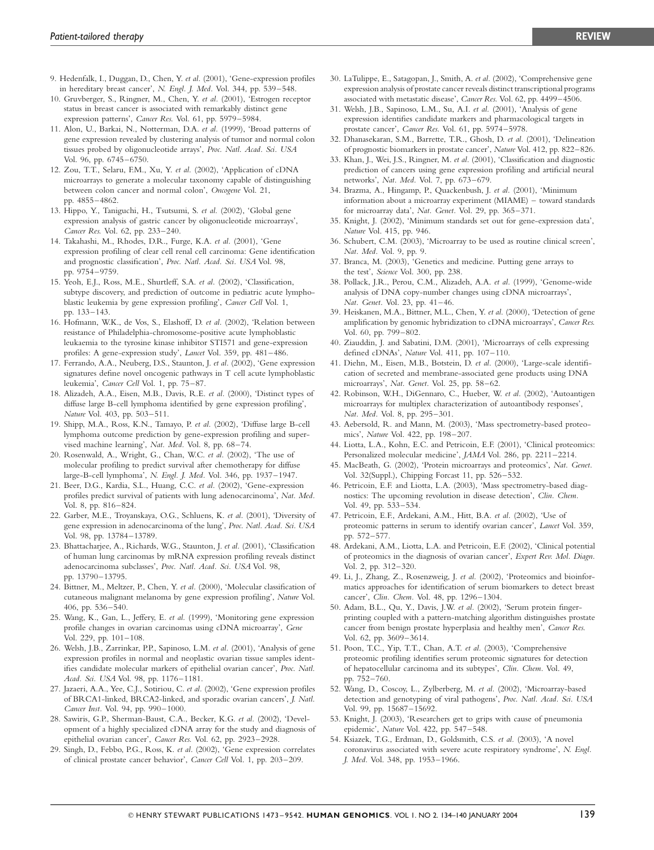- 9. Hedenfalk, I., Duggan, D., Chen, Y. et al. (2001), 'Gene-expression profiles in hereditary breast cancer', N. Engl. J. Med. Vol. 344, pp. 539–548.
- 10. Gruvberger, S., Ringner, M., Chen, Y. et al. (2001), 'Estrogen receptor status in breast cancer is associated with remarkably distinct gene expression patterns', Cancer Res. Vol. 61, pp. 5979–5984.
- 11. Alon, U., Barkai, N., Notterman, D.A. et al. (1999), 'Broad patterns of gene expression revealed by clustering analysis of tumor and normal colon tissues probed by oligonucleotide arrays', Proc. Natl. Acad. Sci. USA Vol. 96, pp. 6745–6750.
- 12. Zou, T.T., Selaru, F.M., Xu, Y. et al. (2002), 'Application of cDNA microarrays to generate a molecular taxonomy capable of distinguishing between colon cancer and normal colon', Oncogene Vol. 21, pp. 4855–4862.
- 13. Hippo, Y., Taniguchi, H., Tsutsumi, S. et al. (2002), 'Global gene expression analysis of gastric cancer by oligonucleotide microarrays', Cancer Res. Vol. 62, pp. 233–240.
- 14. Takahashi, M., Rhodes, D.R., Furge, K.A. et al. (2001), 'Gene expression profiling of clear cell renal cell carcinoma: Gene identification and prognostic classification', Proc. Natl. Acad. Sci. USA Vol. 98, pp. 9754–9759.
- 15. Yeoh, E.J., Ross, M.E., Shurtleff, S.A. et al. (2002), 'Classification, subtype discovery, and prediction of outcome in pediatric acute lymphoblastic leukemia by gene expression profiling', Cancer Cell Vol. 1, pp. 133–143.
- 16. Hofmann, W.K., de Vos, S., Elashoff, D. et al. (2002), 'Relation between resistance of Philadelphia-chromosome-positive acute lymphoblastic leukaemia to the tyrosine kinase inhibitor STI571 and gene-expression profiles: A gene-expression study', Lancet Vol. 359, pp. 481–486.
- 17. Ferrando, A.A., Neuberg, D.S., Staunton, J. et al. (2002), 'Gene expression signatures define novel oncogenic pathways in T cell acute lymphoblastic leukemia', Cancer Cell Vol. 1, pp. 75–87.
- 18. Alizadeh, A.A., Eisen, M.B., Davis, R.E. et al. (2000), 'Distinct types of diffuse large B-cell lymphoma identified by gene expression profiling', Nature Vol. 403, pp. 503–511.
- 19. Shipp, M.A., Ross, K.N., Tamayo, P. et al. (2002), 'Diffuse large B-cell lymphoma outcome prediction by gene-expression profiling and supervised machine learning', Nat. Med. Vol. 8, pp. 68–74.
- 20. Rosenwald, A., Wright, G., Chan, W.C. et al. (2002), 'The use of molecular profiling to predict survival after chemotherapy for diffuse large-B-cell lymphoma', N. Engl. J. Med. Vol. 346, pp. 1937–1947.
- 21. Beer, D.G., Kardia, S.L., Huang, C.C. et al. (2002), 'Gene-expression profiles predict survival of patients with lung adenocarcinoma', Nat. Med. Vol. 8, pp. 816–824.
- 22. Garber, M.E., Troyanskaya, O.G., Schluens, K. et al. (2001), 'Diversity of gene expression in adenocarcinoma of the lung', Proc. Natl. Acad. Sci. USA Vol. 98, pp. 13784–13789.
- 23. Bhattacharjee, A., Richards, W.G., Staunton, J. et al. (2001), 'Classification of human lung carcinomas by mRNA expression profiling reveals distinct adenocarcinoma subclasses', Proc. Natl. Acad. Sci. USA Vol. 98, pp. 13790–13795.
- 24. Bittner, M., Meltzer, P., Chen, Y. et al. (2000), 'Molecular classification of cutaneous malignant melanoma by gene expression profiling', Nature Vol. 406, pp. 536–540.
- 25. Wang, K., Gan, L., Jeffery, E. et al. (1999), 'Monitoring gene expression profile changes in ovarian carcinomas using cDNA microarray', Gene Vol. 229, pp. 101–108.
- 26. Welsh, J.B., Zarrinkar, P.P., Sapinoso, L.M. et al. (2001), 'Analysis of gene expression profiles in normal and neoplastic ovarian tissue samples identifies candidate molecular markers of epithelial ovarian cancer', Proc. Natl. Acad. Sci. USA Vol. 98, pp. 1176-1181.
- 27. Jazaeri, A.A., Yee, C.J., Sotiriou, C. et al. (2002), 'Gene expression profiles of BRCA1-linked, BRCA2-linked, and sporadic ovarian cancers', J. Natl. Cancer Inst. Vol. 94, pp. 990–1000.
- 28. Sawiris, G.P., Sherman-Baust, C.A., Becker, K.G. et al. (2002), 'Development of a highly specialized cDNA array for the study and diagnosis of epithelial ovarian cancer', Cancer Res. Vol. 62, pp. 2923–2928.
- 29. Singh, D., Febbo, P.G., Ross, K. et al. (2002), 'Gene expression correlates of clinical prostate cancer behavior', Cancer Cell Vol. 1, pp. 203–209.
- 30. LaTulippe, E., Satagopan, J., Smith, A. et al. (2002), 'Comprehensive gene expression analysis of prostate cancer reveals distinct transcriptional programs associated with metastatic disease', Cancer Res. Vol. 62, pp. 4499–4506.
- 31. Welsh, J.B., Sapinoso, L.M., Su, A.I. et al. (2001), 'Analysis of gene expression identifies candidate markers and pharmacological targets in prostate cancer', Cancer Res. Vol. 61, pp. 5974-5978.
- 32. Dhanasekaran, S.M., Barrette, T.R., Ghosh, D. et al. (2001), 'Delineation of prognostic biomarkers in prostate cancer', Nature Vol. 412, pp. 822–826.
- 33. Khan, J., Wei, J.S., Ringner, M. et al. (2001), 'Classification and diagnostic prediction of cancers using gene expression profiling and artificial neural networks', Nat. Med. Vol. 7, pp. 673–679.
- 34. Brazma, A., Hingamp, P., Quackenbush, J. et al. (2001), 'Minimum information about a microarray experiment (MIAME) – toward standards for microarray data', Nat. Genet. Vol. 29, pp. 365–371.
- 35. Knight, J. (2002), 'Minimum standards set out for gene-expression data', Nature Vol. 415, pp. 946.
- 36. Schubert, C.M. (2003), 'Microarray to be used as routine clinical screen', Nat. Med. Vol. 9, pp. 9.
- 37. Branca, M. (2003), 'Genetics and medicine. Putting gene arrays to the test', Science Vol. 300, pp. 238.
- 38. Pollack, J.R., Perou, C.M., Alizadeh, A.A. et al. (1999), 'Genome-wide analysis of DNA copy-number changes using cDNA microarrays', Nat. Genet. Vol. 23, pp. 41–46.
- 39. Heiskanen, M.A., Bittner, M.L., Chen, Y. et al. (2000), 'Detection of gene amplification by genomic hybridization to cDNA microarrays', Cancer Res. Vol. 60, pp. 799–802.
- 40. Ziauddin, J. and Sabatini, D.M. (2001), 'Microarrays of cells expressing defined cDNAs', Nature Vol. 411, pp. 107–110.
- 41. Diehn, M., Eisen, M.B., Botstein, D. et al. (2000), 'Large-scale identification of secreted and membrane-associated gene products using DNA microarrays', Nat. Genet. Vol. 25, pp. 58–62.
- 42. Robinson, W.H., DiGennaro, C., Hueber, W. et al. (2002), 'Autoantigen microarrays for multiplex characterization of autoantibody responses', Nat. Med. Vol. 8, pp. 295–301.
- 43. Aebersold, R. and Mann, M. (2003), 'Mass spectrometry-based proteomics', Nature Vol. 422, pp. 198–207.
- 44. Liotta, L.A., Kohn, E.C. and Petricoin, E.F. (2001), 'Clinical proteomics: Personalized molecular medicine', JAMA Vol. 286, pp. 2211–2214.
- 45. MacBeath, G. (2002), 'Protein microarrays and proteomics', Nat. Genet. Vol. 32(Suppl.), Chipping Forcast 11, pp. 526–532.
- 46. Petricoin, E.F. and Liotta, L.A. (2003), 'Mass spectrometry-based diagnostics: The upcoming revolution in disease detection', Clin. Chem. Vol. 49, pp. 533–534.
- 47. Petricoin, E.F., Ardekani, A.M., Hitt, B.A. et al. (2002), 'Use of proteomic patterns in serum to identify ovarian cancer', Lancet Vol. 359, pp. 572–577.
- 48. Ardekani, A.M., Liotta, L.A. and Petricoin, E.F. (2002), 'Clinical potential of proteomics in the diagnosis of ovarian cancer', Expert Rev. Mol. Diagn. Vol. 2, pp. 312–320.
- 49. Li, J., Zhang, Z., Rosenzweig, J. et al. (2002), 'Proteomics and bioinformatics approaches for identification of serum biomarkers to detect breast cancer', Clin. Chem. Vol. 48, pp. 1296–1304.
- 50. Adam, B.L., Qu, Y., Davis, J.W. et al. (2002), 'Serum protein fingerprinting coupled with a pattern-matching algorithm distinguishes prostate cancer from benign prostate hyperplasia and healthy men', Cancer Res. Vol. 62, pp. 3609–3614.
- 51. Poon, T.C., Yip, T.T., Chan, A.T. et al. (2003), 'Comprehensive proteomic profiling identifies serum proteomic signatures for detection of hepatocellular carcinoma and its subtypes', Clin. Chem. Vol. 49, pp. 752–760.
- 52. Wang, D., Coscoy, L., Zylberberg, M. et al. (2002), 'Microarray-based detection and genotyping of viral pathogens', Proc. Natl. Acad. Sci. USA Vol. 99, pp. 15687–15692.
- 53. Knight, J. (2003), 'Researchers get to grips with cause of pneumonia epidemic', Nature Vol. 422, pp. 547–548.
- 54. Ksiazek, T.G., Erdman, D., Goldsmith, C.S. et al. (2003), 'A novel coronavirus associated with severe acute respiratory syndrome', N. Engl. J. Med. Vol. 348, pp. 1953–1966.